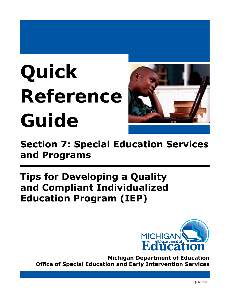# **Quick Reference Guide**



**Section 7: Special Education Services and Programs**

# **Tips for Developing a Quality and Compliant Individualized Education Program (IEP)**



**Michigan Department of Education Office of Special Education and Early Intervention Services**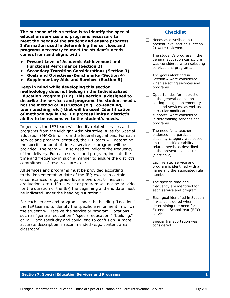**The purpose of this section is to identify the special education services and programs necessary to meet the needs of the student and ensure progress. Information used in determining the services and programs necessary to meet the student's needs comes from and aligns with:**

- **• Present Level of Academic Achievement and Functional Performance (Section 2)**
- **• Secondary Transition Considerations (Section 3)**
- **• Goals and Objectives/Benchmarks (Section 4)**
- **• Supplementary Aids and Services (Section 5)**

**Keep in mind while developing this section, methodology does not belong in the Individualized Education Program (IEP). This section is designed to describe the services and programs the student needs, not the method of instruction (e.g., co-teaching, team teaching, etc.) that will be used. Identification of methodology in the IEP process limits a district's ability to be responsive to the student's needs.**

In general, the IEP team will identify related services and programs from the *Michigan Administrative Rules for Special Education* (MARSE) or from the federal regulations. For each service and program identified, the IEP team will determine the specific amount of time a service or program will be provided. The team will also need to indicate the frequency of the delivery. For each service and program, indicate the time and frequency in such a manner to ensure the district's commitment of resources are clear.

All services and programs must be provided according to the implementation date of the IEP, except in certain circumstances (e.g., grade level move-ups, trimesters, graduation, etc.). If a service or program will not be provided for the duration of the IEP, the beginning and end date must be indicated under the heading "Duration."

For each service and program, under the heading "Location," the IEP team is to identify the specific environment in which the student will receive the service or program. Locations such as "general education," "special education," "building," or "all" lack specificity and could lead to confusion. A more accurate description is recommended (e.g., content area, classroom).

# **Checklist**

- $\Box$  Needs as described in the present level section (Section 2) were reviewed.
- $\Box$  The student's progress in the general education curriculum was considered when selecting services and programs.
- $\Box$  The goals identified in Section 4 were considered when selecting services and programs.
- $\Box$  Opportunities for instruction in the general education setting using supplementary aids and services, as well as curricular modifications and supports, were considered in determining services and programs.
- $\Box$  The need for a teacher endorsed in a particular disability category was based on the specific disability related needs as described in the present level section (Section 2).
- $\Box$  Each related service and program is identified with a name and the associated rule number.
- $\Box$  The specific time and frequency are identified for each service and program.
- $\Box$  Each goal identified in Section 4 was considered when determining the need for Extended School Year (ESY) services.
- $\Box$  Special transportation was considered.

#### **Section 7: Special Education Services and Programs 1**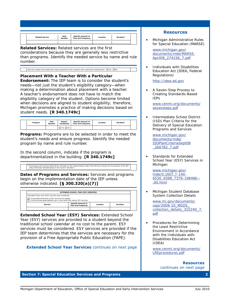| <b>Related Service</b> | Rule<br><b>Number</b> | <b>Specific Amount of</b><br><b>Time and Frequency</b> | Location | Duration* |
|------------------------|-----------------------|--------------------------------------------------------|----------|-----------|
|                        |                       |                                                        |          |           |

*Related Services:* Related services are the first considerations because they are generally less restrictive than programs. Identify the needed service by name and rule number.

Does the student have needs that require placement with a teacher with a particular endorsement?  $\Box$  Yes  $\Box$  No

*Placement With a Teacher With a Particular Endorsement:* The IEP team is to consider the student's needs—not just the student's eligibility category—when making a determination about placement with a teacher. A teacher's endorsement does not have to match the eligibility category of the student. Options become limited when decisions are aligned to student eligibility; therefore, Michigan promotes a practice of making decisions based on student needs. **[R 340.1749c]**

|  | Program | Rule<br><b>Number</b> | Depart-<br>mentalized | <b>Specific Amount of</b><br><b>Time and Frequency</b> | Location | Duration* |  |
|--|---------|-----------------------|-----------------------|--------------------------------------------------------|----------|-----------|--|
|  |         |                       | $\Box$ Yes $\Box$ No  |                                                        |          |           |  |

*Programs:* Programs are to be selected in order to meet the student's needs and ensure progress. Identify the needed program by name and rule number.

In the second column, indicate if the program is departmentalized in the building. **[R 340.1749c]**

\* All programs and services listed above will begin on the implementation date of the IEP and continue for the duration of the IEP, unless otherwise indicated above in the column "Duration."

*Dates of Programs and Services:* Services and programs begin on the implementation date of the IEP unless otherwise indicated. **[§ 300.320(a)(7)]**

| <b>EXTENDED SCHOOL YEAR (ESY) SERVICES</b>                                                                                           |  |  |  |
|--------------------------------------------------------------------------------------------------------------------------------------|--|--|--|
| Extended School Year (ESY) services were considered.                                                                                 |  |  |  |
| T It was determined that no ESY services are needed.<br>□ Current annual goals address one or more skills that require ESY services. |  |  |  |
|                                                                                                                                      |  |  |  |

*Extended School Year (ESY) Services:* Extended School Year (ESY) services are provided to a student beyond the traditional school calendar at no cost to the parent. ESY services must be considered. ESY services are provided if the IEP team determines that the services are necessary for the provision of a Free Appropriate Public Education (FAPE).

*Extended School Year Services continues on next page* 

#### **Resources**

*• Michigan Administrative Rules for Special Education* (MARSE)

[www.michigan.gov/](http://www.michigan.gov/documents/mde/MARSE-April09_274156_7.pdf)  [documents/mde/MARSE-](http://www.michigan.gov/documents/mde/MARSE-April09_274156_7.pdf)[April09\\_274156\\_7.pdf](http://www.michigan.gov/documents/mde/MARSE-April09_274156_7.pdf) 

*• Individuals with Disabilities Education Act* (IDEA, Federal Regulations)

[http://idea.ed.gov](http://idea.ed.gov/explore/view/p/%2Croot%2Cregs%2C) 

*• A Seven-Step Process to Creating Standards-Based IEPs* 

[www.cenmi.org/documents/](www.cenmi.org/documents/sevensteps.pdf) [sevensteps.pdf](www.cenmi.org/documents/sevensteps.pdf)

*• Intermediate School District (ISD) Plan Criteria for the Delivery of Special Education Programs and Services* 

[www.michigan.gov/](www.michigan.gov/documents/mde/ISDPlanCriteriaSept08_266782_7.pdf)  [documents/mde/](www.michigan.gov/documents/mde/ISDPlanCriteriaSept08_266782_7.pdf)  [ISDPlanCriteriaSept08](www.michigan.gov/documents/mde/ISDPlanCriteriaSept08_266782_7.pdf) [\\_266782\\_7.pd](www.michigan.gov/documents/mde/ISDPlanCriteriaSept08_266782_7.pdf)f

Standards for Extended School Year (ESY) Services in Michigan

[www.michigan.gov/](www.michigan.gov/mde/0,1607,7-140-6530_6598_7376-198486--,00.html)  [mde/0,1607,7-140-](www.michigan.gov/mde/0,1607,7-140-6530_6598_7376-198486--,00.html) [6530\\_6598\\_7376-198486--](www.michigan.gov/mde/0,1607,7-140-6530_6598_7376-198486--,00.html) [,00.html](www.michigan.gov/mde/0,1607,7-140-6530_6598_7376-198486--,00.html) 

*• Michigan Student Database System Collection Details* 

w[ww.mi.gov/documents/](http://www.mi.gov/documents/cepi/2009-10_MSDS_collection_details_310240_7.pdf)  [cepi/2009-10\\_MSDS\\_](http://www.mi.gov/documents/cepi/2009-10_MSDS_collection_details_310240_7.pdf) collection\_details\_310240\_7. [pdf](http://www.mi.gov/documents/cepi/2009-10_MSDS_collection_details_310240_7.pdf) 

*• Procedures for Determining the Least Restrictive Environment in Accordance with the Individuals with Disabilities Education Act (IDEA)* 

[www.cenmi.org/documents/](www.cenmi.org/documents/LREprocedures.pdf) [LREprocedures.pdf](www.cenmi.org/documents/LREprocedures.pdf)

> *Resources continues on next page*

#### **Section 7: Special Education Services and Programs 2**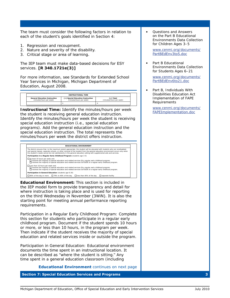The team must consider the following factors in relation to each of the student's goals identified in Section 4:

- 1. Regression and recoupment.
- 2. Nature and severity of the disability.
- 3. Critical stage or area of learning.

The IEP team must make data-based decisions for ESY services. **[R 340.1721e(3)]**

For more information, see *Standards for Extended School Year Services in Michigan, Michigan Department of Education, August 2008*.

| <b>INSTRUCTIONAL TIME</b>                                        |                                                               |                                         |  |
|------------------------------------------------------------------|---------------------------------------------------------------|-----------------------------------------|--|
| <b>General Education Instruction</b><br>(minutes/hours per week) | (+) Special Education Instruction<br>(minutes/hours per week) | $(=)$ Total<br>(minutes/hours per week) |  |
|                                                                  |                                                               |                                         |  |

*Instructional Time:* Identify the minutes/hours per week the student is receiving general education instruction. Identify the minutes/hours per week the student is receiving special education instruction (i.e., special education programs). Add the general education instruction and the special education instruction. The total represents the minutes/hours per week the district offers instruction.



*Educational Environment:* This section is included in the IEP model form to provide transparency and detail for where instruction is taking place and is used for reporting on the third Wednesday in November (3WiN). It is also the starting point for meeting annual performance reporting requirements.

*Participation in a Regular Early Childhood Program:* Complete this section for students who participate in a regular early childhood program. Document if the student spends 10 hours or more, or less than 10 hours, in the program per week. Then indicate if the student receives the majority of special education and related services inside or outside the program.

*Participation in General Education:* Educational environment documents the time spent in an instructional location. It can be described as "where the student is sitting." Any time spent in a general education classroom (including

*Educational Environment continues on next page* 

**Section 7: Special Education Services and Programs 3**

*• Questions and Answers on the Part B Educational Environments Data Collection for Children Ages 3–5* 

[www.cenmi.org/documents/](www.cenmi.org/documents/PartBEdEnv3to5.doc) [PartBEdEnv3to5.do](www.cenmi.org/documents/PartBEdEnv3to5.doc)c

**Part B Educational** *Environments Data Collection for Students Ages 6–21* 

[www.cenmi.org/documents/](www.cenmi.org/documents/PartBEdEnv6to21.doc) [PartBEdEnv6to21.do](www.cenmi.org/documents/PartBEdEnv6to21.doc)c

*• Part B, Individuals With Disabilities Education Act Implementation of FAPE Requirements* 

> [www.cenmi.org/documents/](www.cenmi.org/documents/FAPEImplementation.doc) [FAPEImplementation.do](www.cenmi.org/documents/FAPEImplementation.doc)c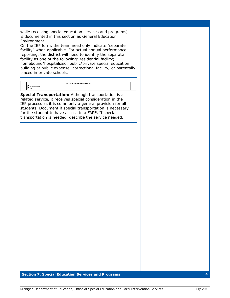while receiving special education services and programs) is documented in this section as General Education Environment.

On the IEP form, the team need only indicate "separate facility" when applicable. For actual annual performance reporting, the district will need to identify the separate facility as one of the following: residential facility; homebound/hospitalized; public/private special education building at public expense; correctional facility; or parentally placed in private schools.

|    | <b>SPECIAL TRANSPORTATION</b> |
|----|-------------------------------|
| No |                               |

**Special Transportation:** Although transportation is a related service, it receives special consideration in the IEP process as it is commonly a general provision for all students. Document if special transportation is necessary for the student to have access to a FAPE. If special transportation is needed, describe the service needed.

#### **Section 7: Special Education Services and Programs 4**